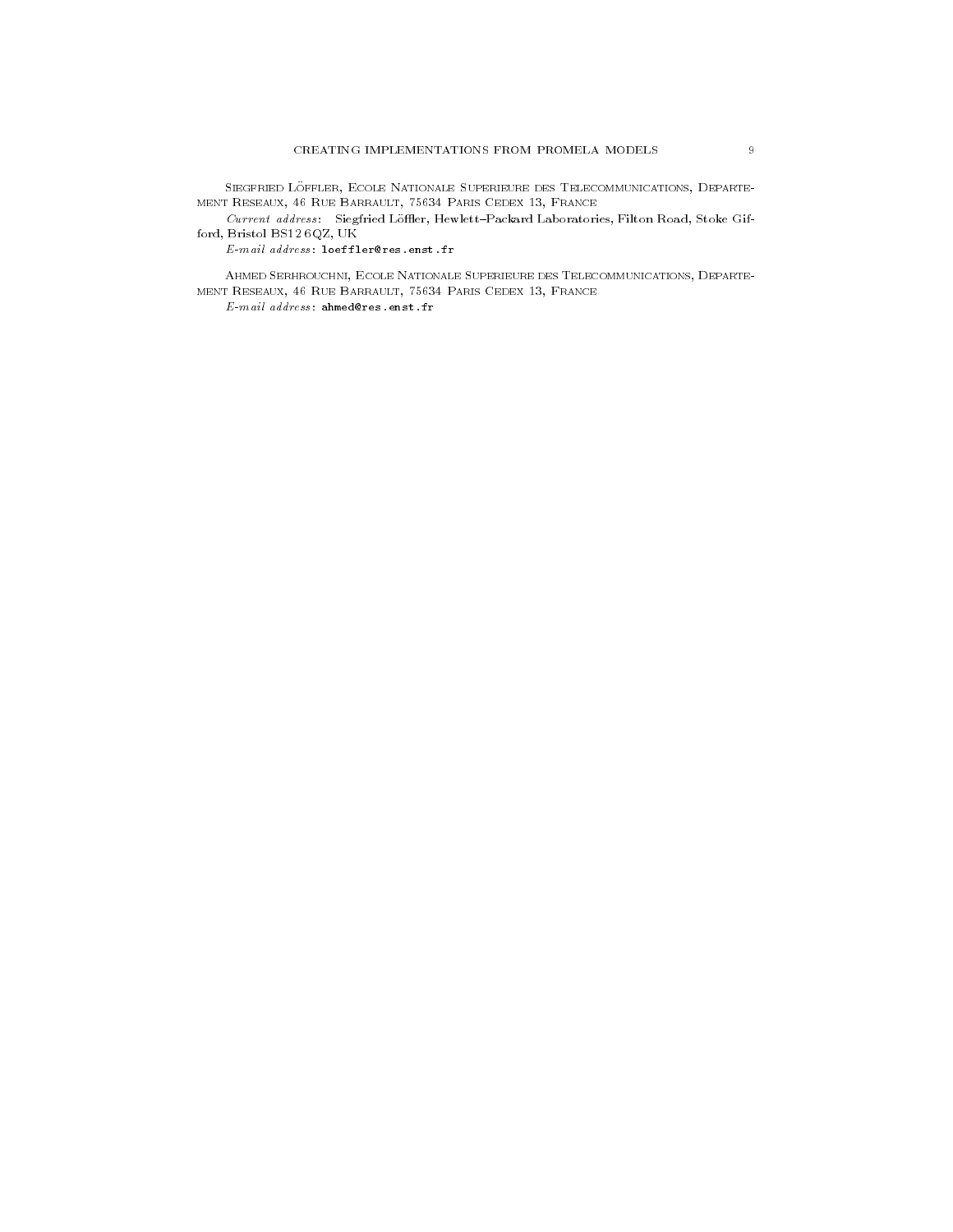SIEGFRIED LÖFFLER, ECOLE NATIONALE SUPERIEURE DES TELECOMMUNICATIONS, DEPARTEment Reseaux, 46 Rue Barrault, 75634 Paris Cedex 13, France

 $Current\_address$ : Siegfried Löffler, Hewlett-Packard Laboratories, Filton Road, Stoke Gifford, Bristol BS12 6QZ, UK

 $E\text{-}mail\;address\text{:}\;loeffler@res.\texttt{enst.fr}$ 

Ahmed Serhrouchni, Ecole Nationale Superieure des Telecommunications, Departe ment Reseaux, 46 Rue Barrault, 75634 Paris Cedex 13, France

 $E\text{-}mail$   $address:$  ahmed@res.enst.fr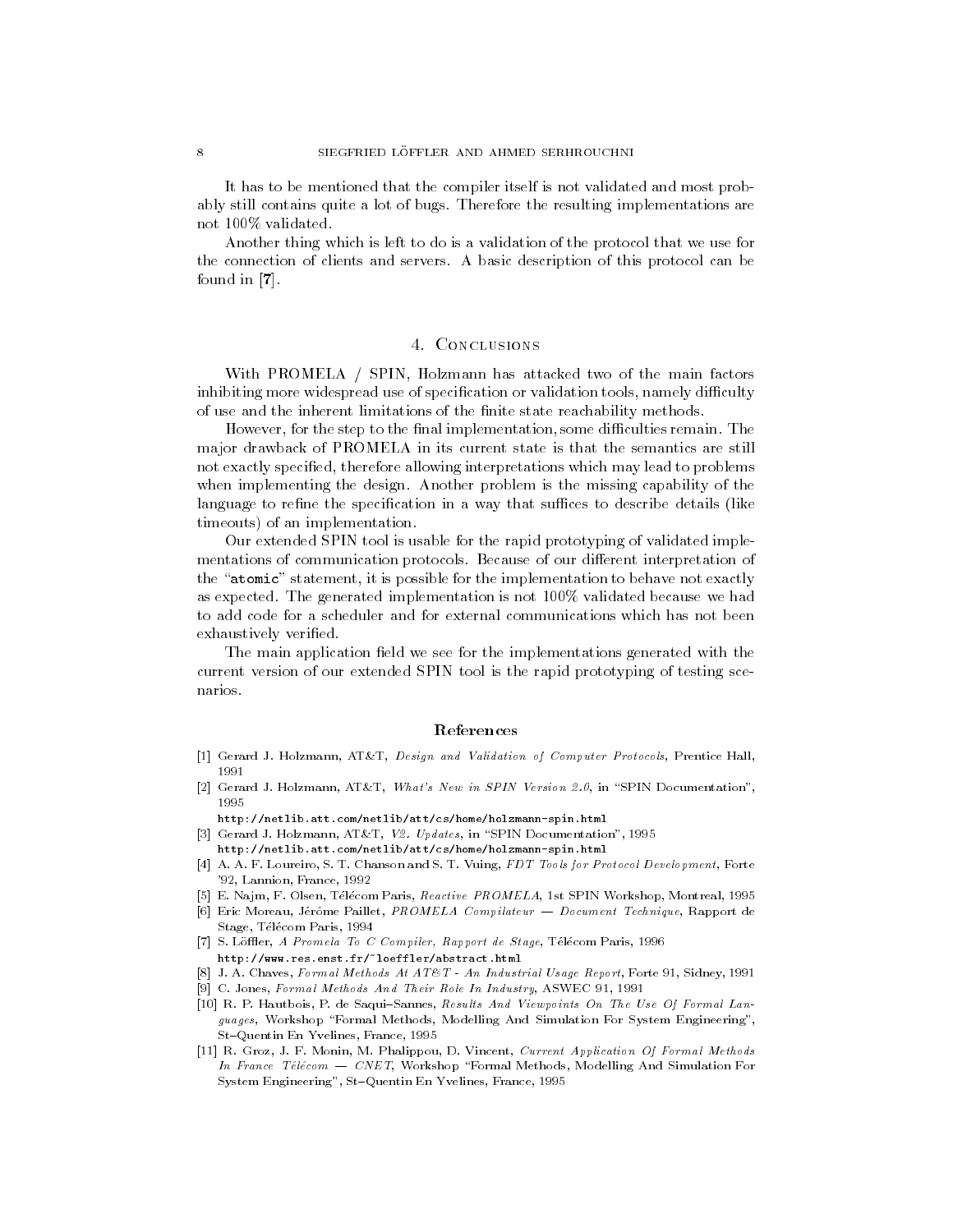It has to be mentioned that the compiler itself is not validated and most probably still contains quite a lot of bugs. Therefore the resulting implementations are not 100% validated.

Another thing which is left to do is a validation of the protocol that we use for the connection of clients and servers. A basic description of this protocol can be found in [7].

## 4. CONCLUSIONS

With PROMELA / SPIN, Holzmann has attacked two of the main factors inhibiting more widespread use of specification or validation tools, namely difficulty of use and the inherent limitations of the finite state reachability methods.

However, for the step to the final implementation, some difficulties remain. The major drawback of PROMELA in its current state is that the semantics are still not exactly specied, therefore allowing interpretations which may lead to problems when implementing the design. Another problem is the missing capability of the language to refine the specification in a way that suffices to describe details (like timeouts) of an implementation.

Our extended SPIN tool is usable for the rapid prototyping of validated imple mentations of communication protocols. Because of our different interpretation of the "atomic" statement, it is possible for the implementation to behave not exactly as expected. The generated implementation is not 100% validated because we had to add code for a scheduler and for external communications which has not been exhaustively veried.

The main application field we see for the implementations generated with the current version of our extended SPIN tool is the rapid prototyping of testing scenarios.

#### References

- [1] Gerard J. Holzmann, AT&T, Design and Validation of Computer Protocols, Prentice Hall, 1991
- [2] Gerard J. Holzmann,  $AT&T$ ,  $What's New in SPIN Version 2.0$ , in "SPIN Documentation", 1995
- http://netlib.att.com/netlib/att/cs/home/holzmann-spin.html
- [3] Gerard J. Holzmann, AT&T, V2. Updates, in "SPIN Documentation", 1995 http://netlib.att.com/netlib/att/cs/home/holzmann-spin.html
- [4] A. A. F. Loureiro, S. T. Chanson and S. T. Vuing, FDT Tools for Protocol Development, Forte '92, Lannion, France, 1992
- [5] E. Na jm, F. Olsen, Telecom Paris, Reactive PROMELA, 1st SPIN Workshop, Montreal, 1995
- [6] Eric Moreau, Jérôme Paillet, *PROMELA Compilateur Document Technique*, Rapport de Stage, Telecom Paris, 1994
- [7] S. Löffler, A Promela To C Compiler, Rapport de Stage, Télécom Paris, 1996 http://www.res.enst.fr/~loeffler/abstract.html
- [8] J. A. Chaves, Formal Methods At AT&T An Industrial Usage Report, Forte 91, Sidney, 1991
- [9] C. Jones, Formal Methods And Their Role In Industry, ASWEC 91, 1991
- [10] R. P. Hautbois, P. de Saqui-Sannes, Results And Viewpoints On The Use Of Formal Languages, Workshop "Formal Methods, Modelling And Simulation For System Engineering", St-Quentin En Yvelines, France, 1995
- [11] R. Groz, J. F. Monin, M. Phalippou, D. Vincent, Current Application Of Formal Methods In France Télécom – CNET, Workshop "Formal Methods, Modelling And Simulation For System Engineering", St-Quentin En Yvelines, France, 1995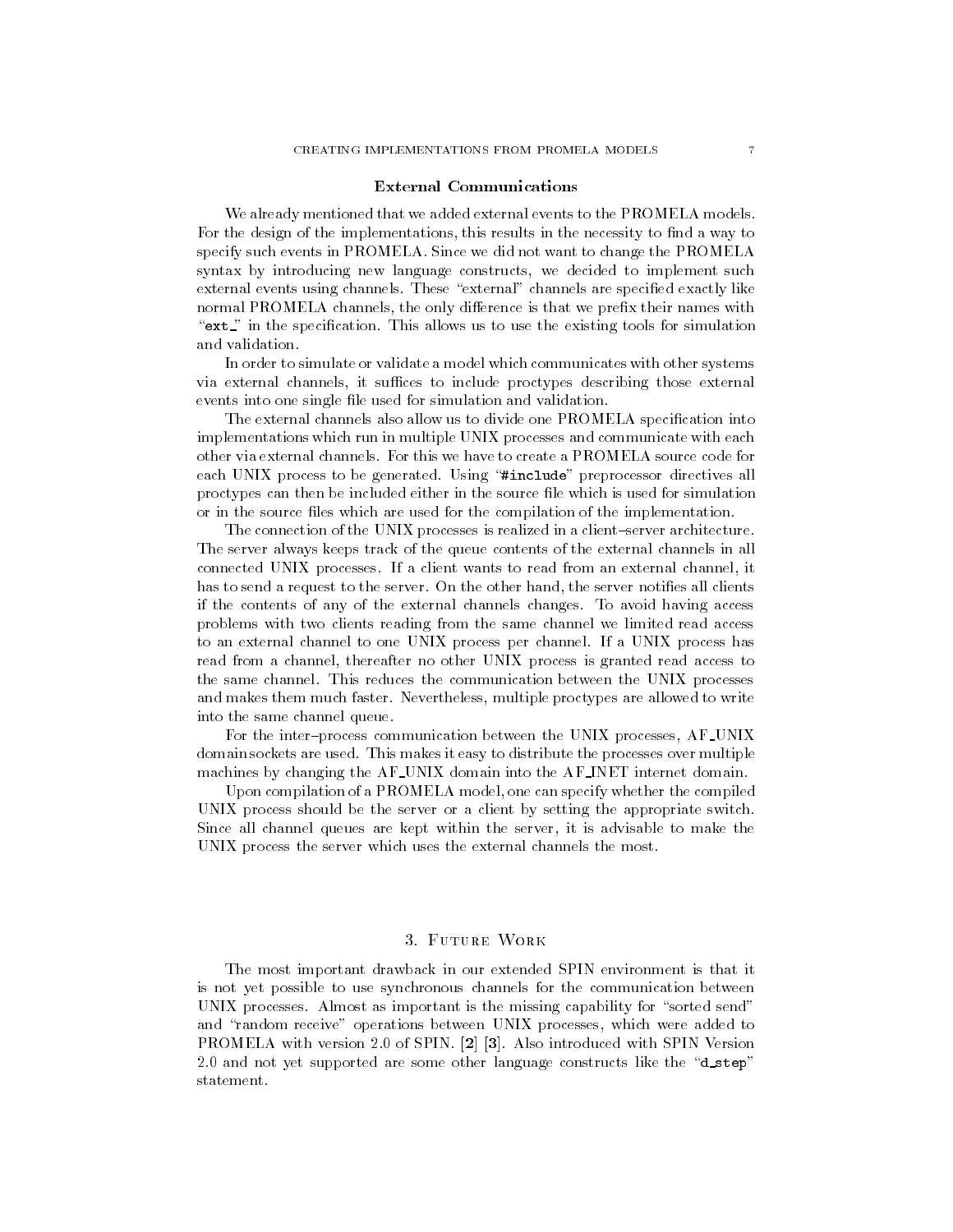#### **External Communications**

We already mentioned that we added external events to the PROMELA models. For the design of the implementations, this results in the necessity to find a way to specify such events in PROMELA. Since we did not want to change the PROMELA syntax by introducing new language constructs, we decided to implement such external events using channels. These "external" channels are specified exactly like normal PROMELA channels, the only difference is that we prefix their names with " $ext$ " in the specification. This allows us to use the existing tools for simulation and validation.

In order to simulate or validate a model which communicates with other systems via external channels, it suffices to include proctypes describing those external events into one single file used for simulation and validation.

The external channels also allow us to divide one PROMELA specification into implementations which run in multiple UNIX processes and communicate with each other via external channels. For this we have to create a PROMELA source code for each UNIX process to be generated. Using \#include" preprocessor directives all proctypes can then be included either in the source le which is used for simulation or in the source files which are used for the compilation of the implementation.

The connection of the UNIX processes is realized in a client-server architecture. The server always keeps track of the queue contents of the external channels in all connected UNIX processes. If a client wants to read from an external channel, it has to send a request to the server. On the other hand, the server notifies all clients if the contents of any of the external channels changes. To avoid having access problems with two clients reading from the same channel we limited read access to an external channel to one UNIX process per channel. If a UNIX process has read from a channel, thereafter no other UNIX process is granted read access to the same channel. This reduces the communication between the UNIX processes and makes them much faster. Nevertheless, multiple proctypes are allowed to write into the same channel queue.

For the inter-process communication between the UNIX processes, AF\_UNIX domain sockets are used. This makes it easy to distribute the processes over multiple machines by changing the AF UNIX domain into the AF INET internet domain.

Upon compilation of a PROMELA model, one can specify whether the compiled UNIX process should be the server or a client by setting the appropriate switch. Since all channel queues are kept within the server, it is advisable to make the UNIX process the server which uses the external channels the most.

The most important drawback in our extended SPIN environment is that it is not yet possible to use synchronous channels for the communication between UNIX processes. Almost as important is the missing capability for "sorted send" and "random receive" operations between UNIX processes, which were added to PROMELA with version 2.0 of SPIN. [2] [3]. Also introduced with SPIN Version 2.0 and not yet supported are some other language constructs like the "d\_step" statement.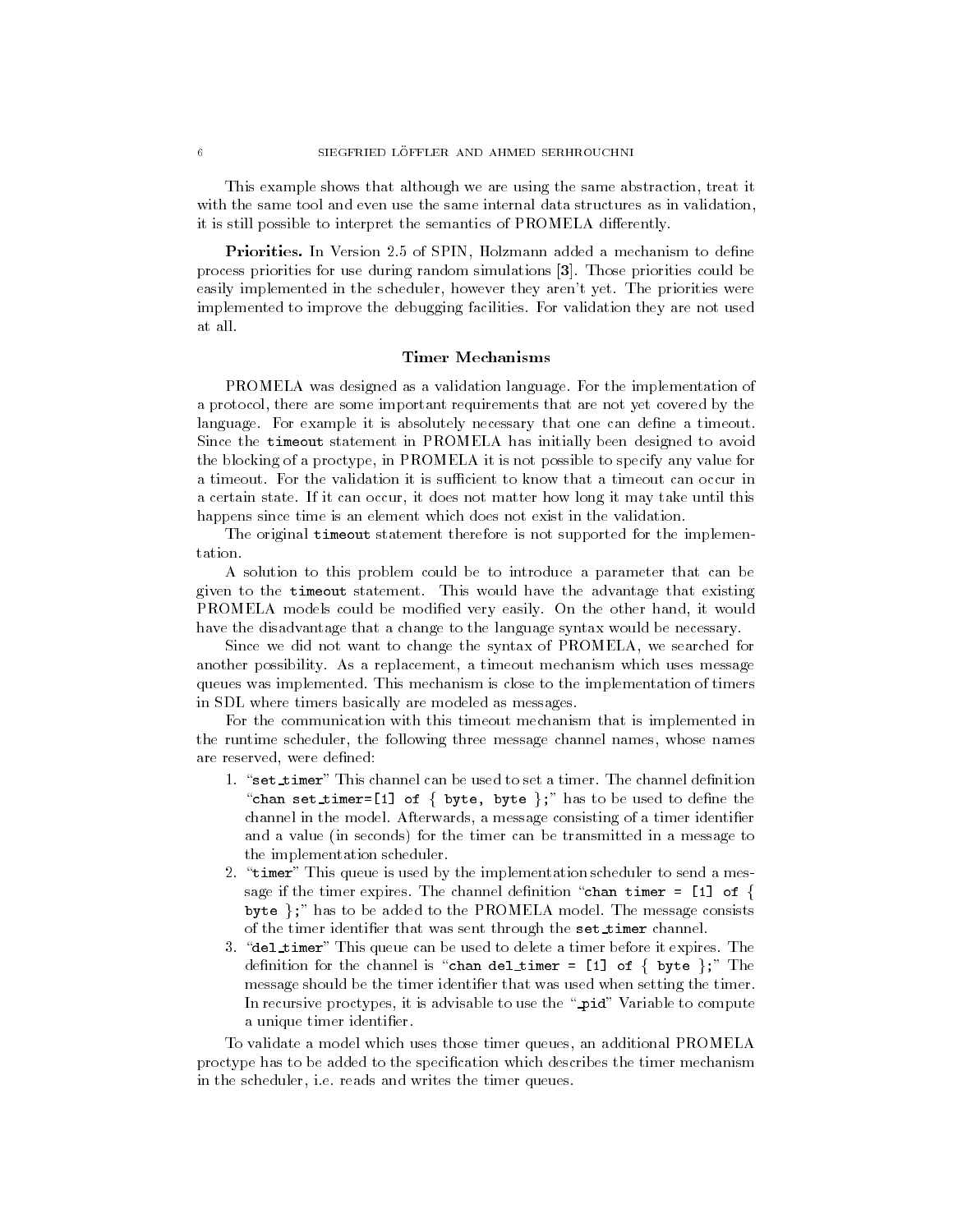This example shows that although we are using the same abstraction, treat it with the same tool and even use the same internal data structures as in validation, it is still possible to interpret the semantics of PROMELA differently.

Priorities. In Version 2.5 of SPIN, Holzmann added a mechanism to define process priorities for use during random simulations [3]. Those priorities could be easily implemented in the scheduler, however they aren't yet. The priorities were implemented to improve the debugging facilities. For validation they are not used at all.

## **Timer Mechanisms**

PROMELA was designed as a validation language. For the implementation of a protocol, there are some important requirements that are not yet covered by the language. For example it is absolutely necessary that one can define a timeout. Since the timeout statement in PROMELA has initially been designed to avoid the blocking of a proctype, in PROMELA it is not possible to specify any value for a timeout. For the validation it is sufficient to know that a timeout can occur in a certain state. If it can occur, it does not matter how long it may take until this happens since time is an element which does not exist in the validation.

The original timeout statement therefore is not supported for the implementation.

A solution to this problem could be to introduce a parameter that can be given to the timeout statement. This would have the advantage that existing PROMELA models could be modified very easily. On the other hand, it would have the disadvantage that a change to the language syntax would be necessary.

Since we did not want to change the syntax of PROMELA, we searched for another possibility. As a replacement, a timeout mechanism which uses message queues was implemented. This mechanism is close to the implementation of timers in SDL where timers basically are modeled as messages.

For the communication with this timeout mechanism that is implemented in the runtime scheduler, the following three message channel names, whose names are reserved, were defined:

- 1. " $set_timer$ " This channel can be used to set a timer. The channel definition "chan set\_timer=[1] of  $\{$  byte, byte  $\};$ " has to be used to define the channel in the model. Afterwards, a message consisting of a timer identier and a value (in seconds) for the timer can be transmitted in a message to the implementation scheduler.
- 2. "timer" This queue is used by the implementation scheduler to send a message if the timer expires. The channel definition "chan timer = [1] of { byte  $\}$ ;" has to be added to the PROMELA model. The message consists of the timer identifier that was sent through the set\_timer channel.
- 3. "del\_timer" This queue can be used to delete a timer before it expires. The definition for the channel is "chan del\_timer = [1] of  $\{$  byte  $\};$ " The message should be the timer identifier that was used when setting the timer. In recursive proctypes, it is advisable to use the "pid" Variable to compute a unique timer identifier.

To validate a model which uses those timer queues, an additional PROMELA proctype has to be added to the specification which describes the timer mechanism in the scheduler, i.e. reads and writes the timer queues.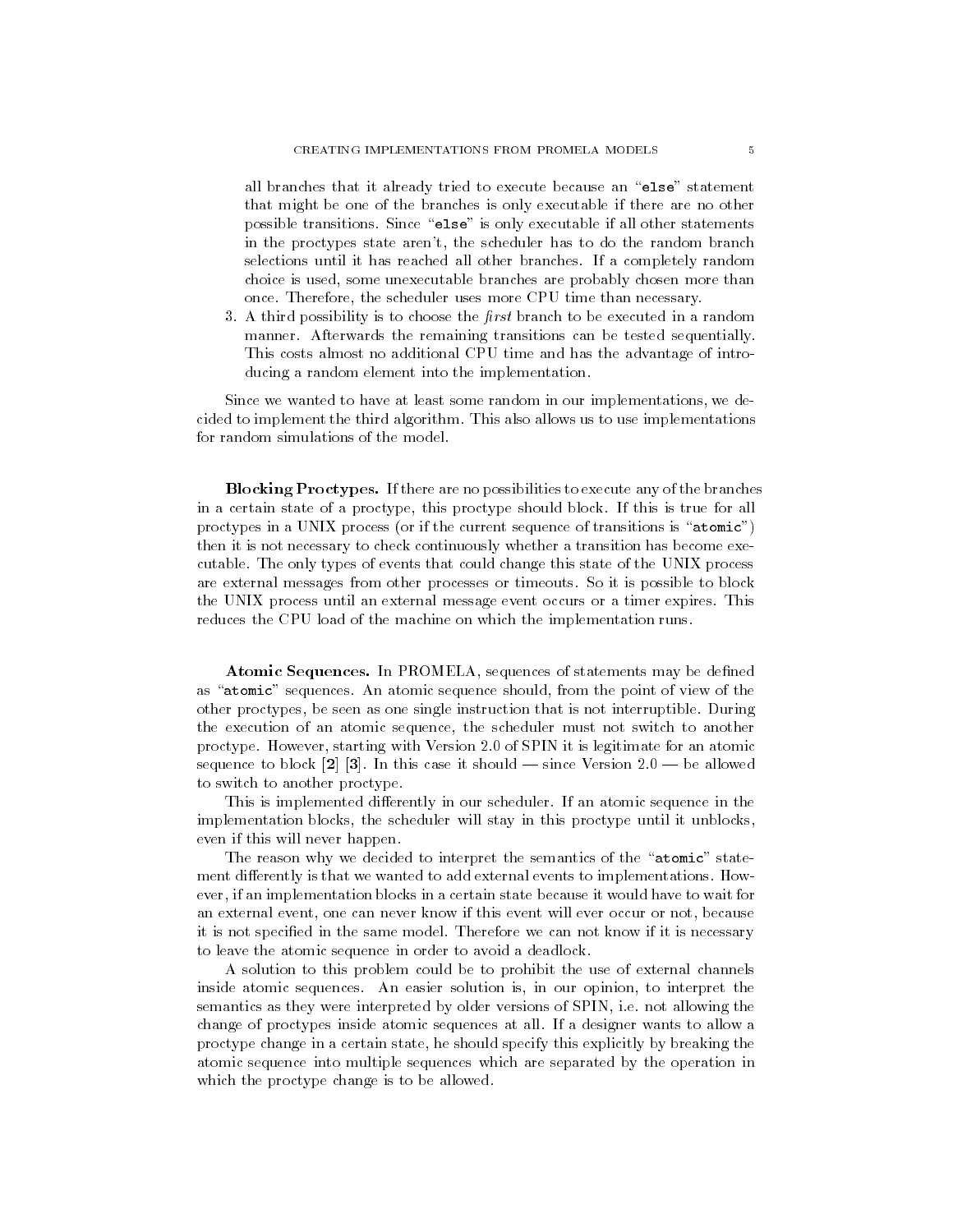all branches that it already tried to execute because an "else" statement that might be one of the branches is only executable if there are no other possible transitions. Since "else" is only executable if all other statements in the proctypes state aren't, the scheduler has to do the random branch selections until it has reached all other branches. If a completely random choice is used, some unexecutable branches are probably chosen more than once. Therefore, the scheduler uses more CPU time than necessary.

3. A third possibility is to choose the  $first$  branch to be executed in a random manner. Afterwards the remaining transitions can be tested sequentially. This costs almost no additional CPU time and has the advantage of introducing a random element into the implementation.

Since we wanted to have at least some random in our implementations, we decided to implement the third algorithm. This also allows us to use implementations for random simulations of the model.

**Blocking Proctypes.** If there are no possibilities to execute any of the branches in a certain state of a proctype, this proctype should block. If this is true for all proctypes in a UNIX process (or if the current sequence of transitions is "atomic") then it is not necessary to check continuously whether a transition has become executable. The only types of events that could change this state of the UNIX process are external messages from other processes or timeouts. So it is possible to block the UNIX process until an external message event occurs or a timer expires. This reduces the CPU load of the machine on which the implementation runs.

Atomic Sequences. In PROMELA, sequences of statements may be defined as "atomic" sequences. An atomic sequence should, from the point of view of the other proctypes, be seen as one single instruction that is not interruptible. During the execution of an atomic sequence, the scheduler must not switch to another proctype. However, starting with Version 2.0 of SPIN it is legitimate for an atomic sequence to block  $\begin{bmatrix} 2 \end{bmatrix}$   $\begin{bmatrix} 3 \end{bmatrix}$ . In this case it should — since Version 2.0 — be allowed to switch to another proctype.

This is implemented differently in our scheduler. If an atomic sequence in the implementation blocks, the scheduler will stay in this proctype until it unblocks, even if this will never happen.

The reason why we decided to interpret the semantics of the "atomic" statement differently is that we wanted to add external events to implementations. However, if an implementation blocks in a certain state because it would have to wait for an external event, one can never know if this event will ever occur or not, because it is not specied in the same model. Therefore we can not know if it is necessary to leave the atomic sequence in order to avoid a deadlock.

A solution to this problem could be to prohibit the use of external channels inside atomic sequences. An easier solution is, in our opinion, to interpret the semantics as they were interpreted by older versions of SPIN, i.e. not allowing the change of proctypes inside atomic sequences at all. If a designer wants to allow a proctype change in a certain state, he should specify this explicitly by breaking the atomic sequence into multiple sequences which are separated by the operation in which the proctype change is to be allowed.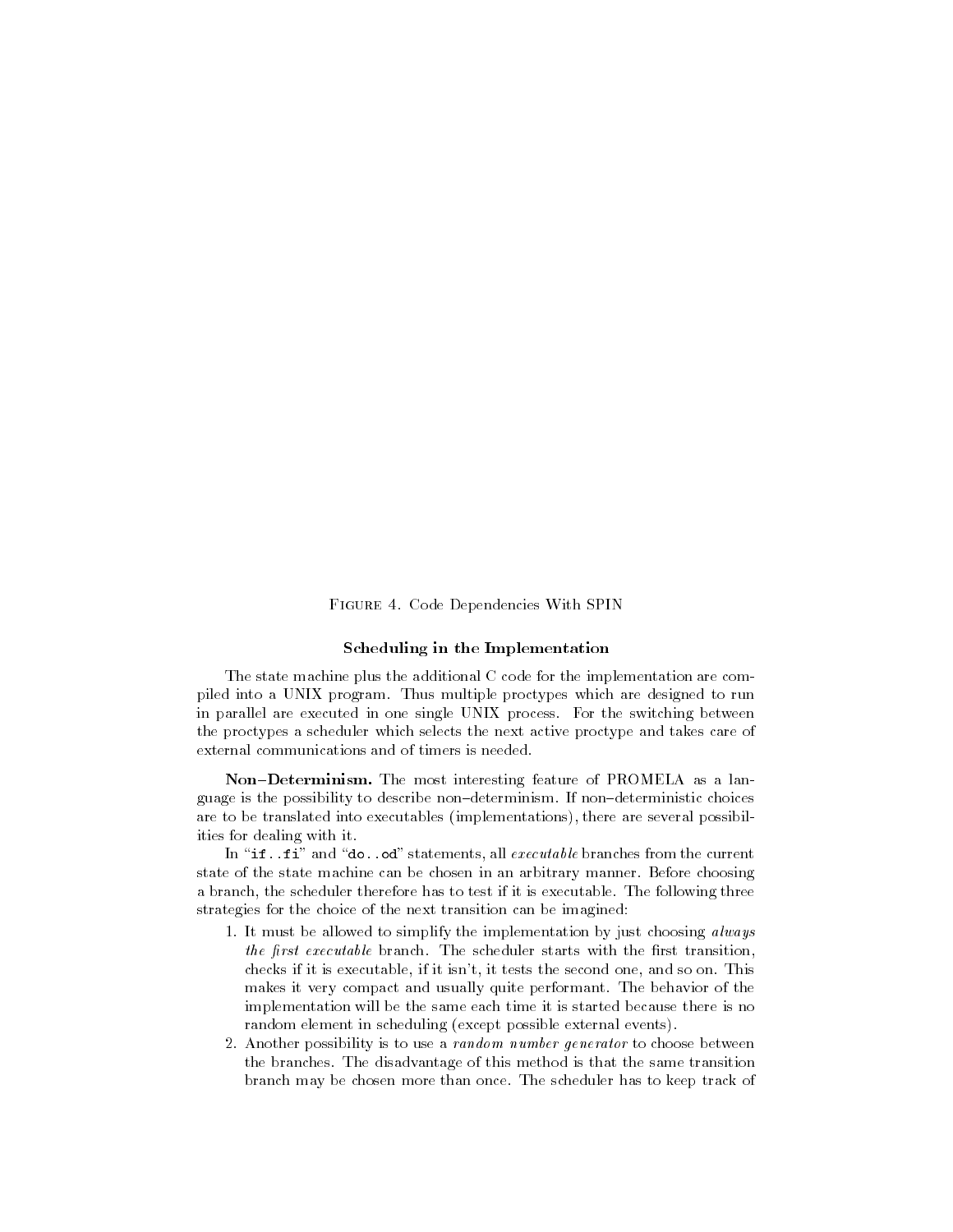Figure 4. Code Dependencies With SPIN

#### Scheduling in the Implementation

The state machine plus the additional C code for the implementation are compiled into a UNIX program. Thus multiple proctypes which are designed to run in parallel are executed in one single UNIX process. For the switching between the proctypes a scheduler which selects the next active proctype and takes care of external communications and of timers is needed.

Non-Determinism. The most interesting feature of PROMELA as a language is the possibility to describe non-determinism. If non-deterministic choices are to be translated into executables (implementations), there are several possibilities for dealing with it.

In "if..fi" and "do..od" statements, all executable branches from the current state of the state machine can be chosen in an arbitrary manner. Before choosing a branch, the scheduler therefore has to test if it is executable. The following three strategies for the choice of the next transition can be imagined:

- 1. It must be allowed to simplify the implementation by just choosing always  $\mu$  are  $\mu$  and  $\mu$  and  $\mu$  are scheduler starts with the first transition, checks if it is executable, if it isn't, it tests the second one, and so on. This makes it very compact and usually quite performant. The behavior of the implementation will be the same each time it is started because there is no random element in scheduling (except possible external events).
- 2. Another possibility is to use a random number generator to choose between the branches. The disadvantage of this method is that the same transition branch may be chosen more than once. The scheduler has to keep track of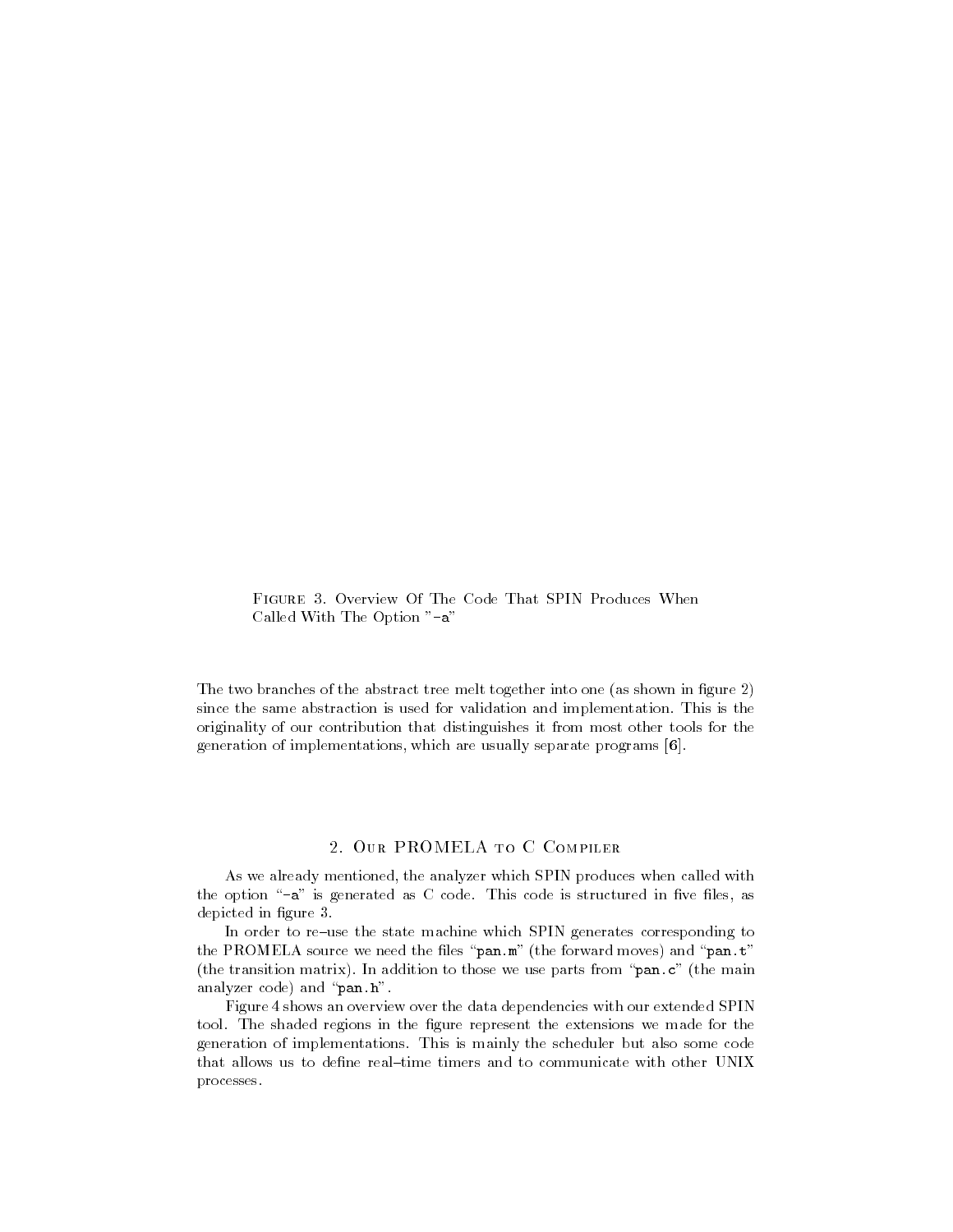Figure 3. Overview Of The Code That SPIN Produces When Called With The Option "-a"

The two branches of the abstract tree melt together into one (as shown in figure 2) since the same abstraction is used for validation and implementation. This is the originality of our contribution that distinguishes it from most other tools for the generation of implementations, which are usually separate programs [6].

# 2. Our PROMELA to C Compiler

As we already mentioned, the analyzer which SPIN produces when called with the option  $-a$ " is generated as C code. This code is structured in five files, as depicted in figure 3.

In order to re-use the state machine which SPIN generates corresponding to the PROMELA source we need the files "pan.m" (the forward moves) and "pan.t" (the transition matrix). In addition to those we use parts from " $pan.c"$  (the main analyzer code) and "pan.h".

Figure 4 shows an overview over the data dependencies with our extended SPIN tool. The shaded regions in the figure represent the extensions we made for the generation of implementations. This is mainly the scheduler but also some code that allows us to define real-time timers and to communicate with other UNIX processes.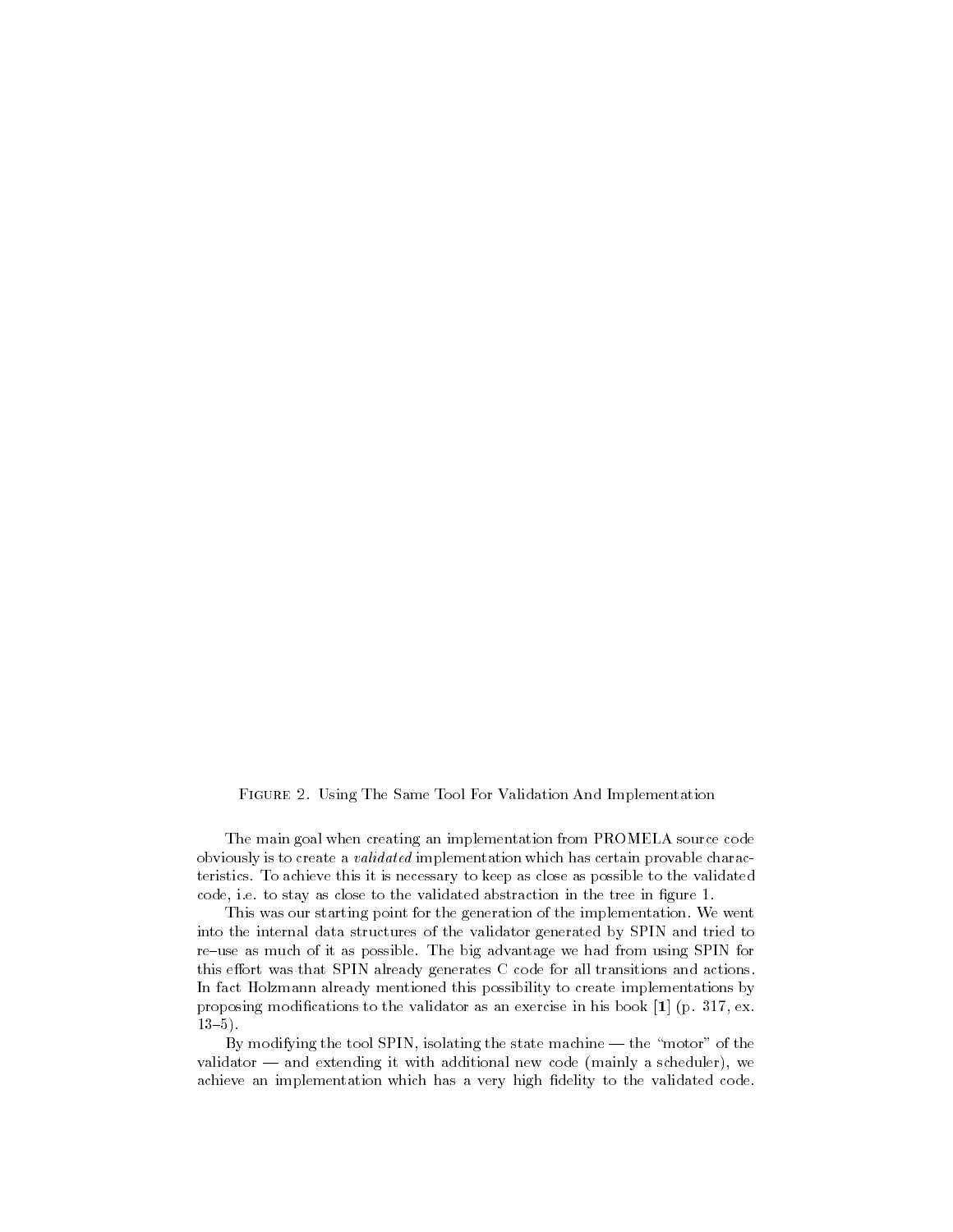Figure 2. Using The Same Tool For Validation And Implementation

The main goal when creating an implementation from PROMELA source code obviously is to create a validated implementation which has certain provable characteristics. To achieve this it is necessary to keep as close as possible to the validated code, i.e. to stay as close to the validated abstraction in the tree in figure 1.

This was our starting point for the generation of the implementation. We went into the internal data structures of the validator generated by SPIN and tried to re{use as much of it as possible. The big advantage we had from using SPIN for this effort was that SPIN already generates C code for all transitions and actions. In fact Holzmann already mentioned this possibility to create implementations by proposing modications to the validator as an exercise in his book [1] (p. 317, ex.  $13{-}5$ ).

By modifying the tool SPIN, isolating the state machine  $-$  the "motor" of the validator  $-$  and extending it with additional new code (mainly a scheduler), we achieve an implementation which has a very high fidelity to the validated code.